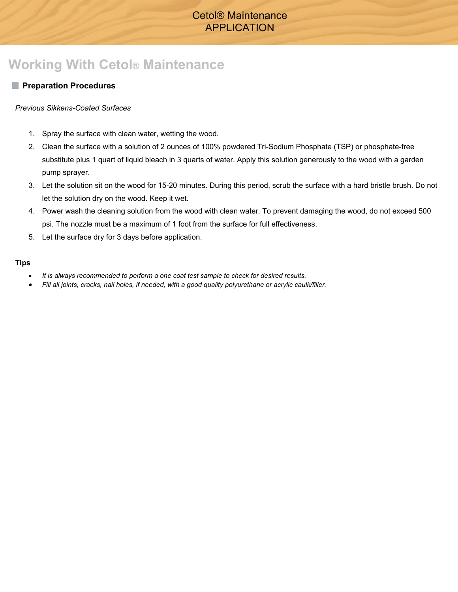# Cetol® Maintenance APPLICATION

# **Working With Cetol® Maintenance**

### **Preparation Procedures**

### *Previous Sikkens-Coated Surfaces*

- 1. Spray the surface with clean water, wetting the wood.
- 2. Clean the surface with a solution of 2 ounces of 100% powdered Tri-Sodium Phosphate (TSP) or phosphate-free substitute plus 1 quart of liquid bleach in 3 quarts of water. Apply this solution generously to the wood with a garden pump sprayer.
- 3. Let the solution sit on the wood for 15-20 minutes. During this period, scrub the surface with a hard bristle brush. Do not let the solution dry on the wood. Keep it wet.
- 4. Power wash the cleaning solution from the wood with clean water. To prevent damaging the wood, do not exceed 500 psi. The nozzle must be a maximum of 1 foot from the surface for full effectiveness.
- 5. Let the surface dry for 3 days before application.

#### **Tips**

- *It is always recommended to perform a one coat test sample to check for desired results.*
- *Fill all joints, cracks, nail holes, if needed, with a good quality polyurethane or acrylic caulk/filler.*